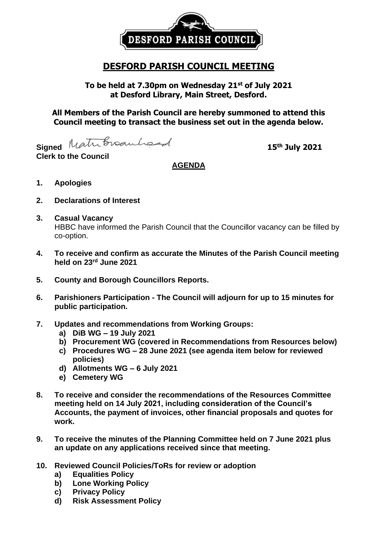

## **DESFORD PARISH COUNCIL MEETING**

**To be held at 7.30pm on Wednesday 21 st of July 2021 at Desford Library, Main Street, Desford.**

**All Members of the Parish Council are hereby summoned to attend this Council meeting to transact the business set out in the agenda below.**

Signed Matribroauhord

**Clerk to the Council**

**th July 2021**

## **AGENDA**

- **1. Apologies**
- **2. Declarations of Interest**
- **3. Casual Vacancy** HBBC have informed the Parish Council that the Councillor vacancy can be filled by co-option.
- **4. To receive and confirm as accurate the Minutes of the Parish Council meeting held on 23rd June 2021**
- **5. County and Borough Councillors Reports.**
- **6. Parishioners Participation - The Council will adjourn for up to 15 minutes for public participation.**
- **7. Updates and recommendations from Working Groups:**
	- **a) DiB WG – 19 July 2021**
	- **b) Procurement WG (covered in Recommendations from Resources below)**
	- **c) Procedures WG – 28 June 2021 (see agenda item below for reviewed policies)**
	- **d) Allotments WG – 6 July 2021**
	- **e) Cemetery WG**
- **8. To receive and consider the recommendations of the Resources Committee meeting held on 14 July 2021, including consideration of the Council's Accounts, the payment of invoices, other financial proposals and quotes for work.**
- **9. To receive the minutes of the Planning Committee held on 7 June 2021 plus an update on any applications received since that meeting.**
- **10. Reviewed Council Policies/ToRs for review or adoption**
	- **a) Equalities Policy**
	- **b) Lone Working Policy**
	- **c) Privacy Policy**
	- **d) Risk Assessment Policy**